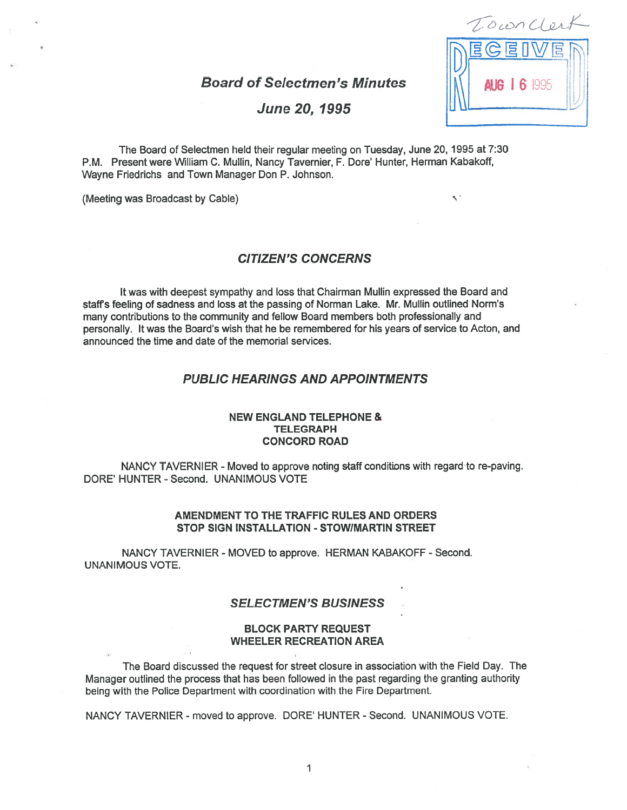Board of Selectmen's Minutes **JN1 AG 16 1995** 



Ō

# June 20, 1995

The Board of Selectmen held their regular meeting on Tuesday, June 20, 1995 at 7:30 P.M. Present were William C. Mullin, Nancy Tavernier, F. Dore' Hunter, Herman Kabakoff, Wayne Friedrichs and Town Manager Don P. Johnson.

(Meeting was Broadcast by Cable)

# CITIZEN'S CONCERNS

It was with deepest sympathy and loss that Chairman Mullin expressed the Board and staffs feeling of sadness and loss at the passing of Norman Lake. Mr. Mullin outlined Norm's many contributions to the community and fellow Board members both professionally and personally. It was the Board's wish that he be remembered for his years of service to Acton, and announced the time and date of the memorial services.

# PUBLIC HEARINGS AND APPOINTMENTS

## NEW ENGLAND TELEPHONE & **TELEGRAPH** CONCORD ROAD

NANCY TAVERNIER - Moved to approve noting staff conditions with regard to re-paving. DORE' HUNTER -Second. UNANIMOUS VOTE

#### AMENDMENT TO THE TRAFFIC RULES AND ORDERS STOP SIGN INSTALLATION - STOWIMARTIN STREET

NANCY TAVERNIER - MOVED to approve. HERMAN KABAKOFF - Second. UNANIMOUS VOTE.

## SELECTMEN'S BUSINESS

#### BLOCK PARTY REQUEST WHEELER RECREATION AREA

The Board discussed the reques<sup>t</sup> for street closure in association with the Field Day. The Manager outlined the process that has been followed in the pas<sup>t</sup> regarding the granting authority being with the Police Department with coordination with the Fire Department.

NANCY TAVERNIER -moved to approve. DORE' HUNTER - Second. UNANIMOUS VOTE.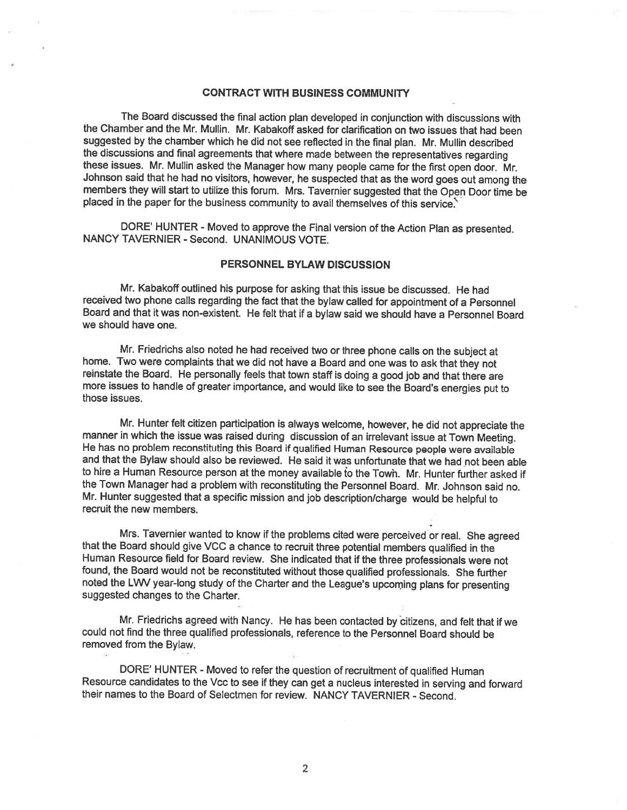# CONTRACT WITH BUSINESS COMMUNITY

The Board discussed the final action <sup>p</sup>lan developed in conjunction with discussions with the Chamber and the Mr. Mullin. Mr. Kabakoff asked for clarification on two issues that had been suggested by the chamber which he did not see reflected in the final <sup>p</sup>lan. Mr. Mullin described the discussions and final agreements that where made between the representatives regarding these issues. Mr. Mullin asked the Manager how many people came for the first open door. Mr. Johnson said that he had no visitors, however, he suspected that as the word goes out among the members they will start to utilize this forum. Mrs. Tavernier suggested that the Open Door time be placed in the paper for the business community to avail themselves of this service.

DORE' HUNTER - Moved to approve the Final version of the Action Plan as presented. NANCY TAVERNIER - Second. UNANIMOUS VOTE.

## PERSONNEL BYLAW DISCUSSION

Mr. Kabakoff outlined his purpose for asking that this issue be discussed. He had received two phone calls regarding the fact that the bylaw called for appointment of a Personnel Board and that it was non-existent. He felt that if <sup>a</sup> bylaw said we should have <sup>a</sup> Personnel Board we should have one.

Mr. Friedrichs also noted he had received two or three <sup>p</sup>hone calls on the subject at home. Two were complaints that we did not have <sup>a</sup> Board and one was to ask that they not reinstate the Board. He personally feels that town staff is doing <sup>a</sup> good job and that there are more issues to handle of greater importance, and would like to see the Board's energies put to those issues.

Mr. Hunter felt citizen participation is always welcome, however, he did not appreciate the manner in which the issue was raised during discussion of an irrelevant issue at Town Meeting. He has no problem reconstituting this Board if qualified Human Resource people were available and that the Bylaw should also be reviewed. He said it was unfortunate that we had not been able to hire a Human Resource person at the money available to the Town. Mr. Hunter further asked if the Town Manager had <sup>a</sup> problem with reconstituting the Personnel Board. Mr. Johnson said no. Mr. Hunter suggested that <sup>a</sup> specific mission and job description/charge would be helpful to recruit the new members.

Mrs. Tavernier wanted to know it the problems cited were perceived or real. She agreed that the Board should <sup>g</sup>ive VCC <sup>a</sup> chance to recruit three potential members qualified in the Human Resource field for Board review. She indicated that if the three professionals were not found, the Board would not be reconstituted without those qualified professionals. She further noted the LWV year-long study of the Charter and the League's upcoming <sup>p</sup>lans for presenting suggested changes to the Charter.

Mr. Friedrichs agreed with Nancy. He has been contacted by citizens, and felt that if we could not find the three qualified professionals, reference to the Personnel Board should be removed from the Bylaw.

DORE' HUNTER - Moved to refer the question of recruitment of qualified Human Resource candidates to the Vcc to see if they can get <sup>a</sup> nucleus interested in serving and forward their names to the Board of Selectmen for review. NANCY TAVERNIER - Second.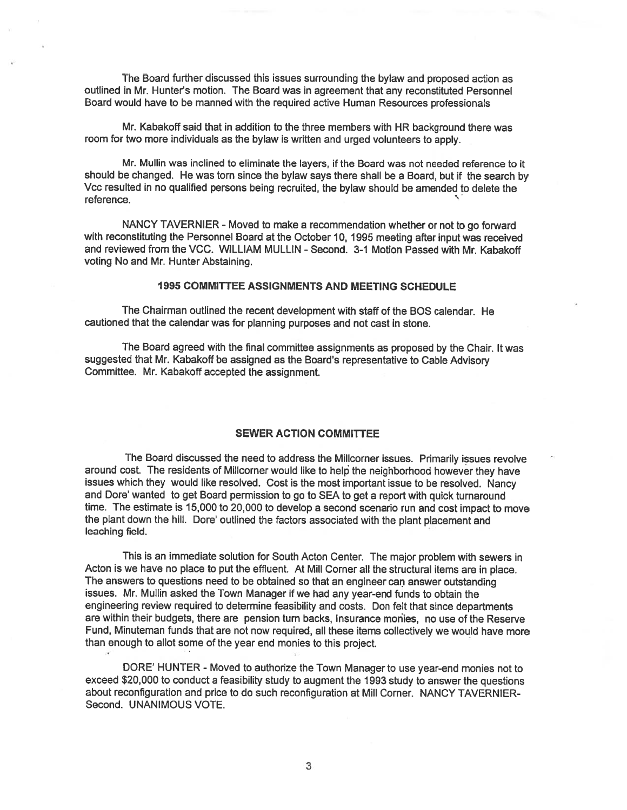The Board further discussed this issues surrounding the bylaw and proposed action as outlined in Mr. Hunter's motion. The Board was in agreemen<sup>t</sup> that any reconstituted Personnel Board would have to be manned with the requited active Human Resources professionals

Mr. Kabakoff said that in addition to the three members with HR background there was room for two more individuals as the bylaw is written and urged volunteers to apply.

Mr. Mullin was inclined to eliminate the layers, if the Board was not needed reference to it should be changed. He was torn since the bylaw says there shall be <sup>a</sup> Board, but if the search by Vcc resulted in no qualified persons being recruited, the bylaw should be amended to delete the reference.

NANCY TAVERNIER - Moved to make a recommendation whether or not to go forward with reconstituting the Personnel Board at the October 10, <sup>1995</sup> meeting after input was received and reviewed from the VCC. WILLIAM MULLIN - Second. 3-1 Motion Passed with Mr. Kabakoff voting No and Mr. Hunter Abstaining.

## 1995 COMMITTEE ASSIGNMENTS AND MEETING SCHEDULE

The Chairman outlined the recent development with staff of the BOS calendar. He cautioned that the calendar was for <sup>p</sup>lanning purposes and not cast in stone.

The Board agree<sup>d</sup> with the final committee assignments as propose<sup>d</sup> by the Chair. It was suggested that Mr. Kabakoff be assigned as the Board's representative to Cable Advisory Committee. Mr. Kabakoff accepted the assignment.

# SEWER ACTION COMMITTEE

The Board discussed the need to address the Millcorner issues. Primarily issues revolve around cost. The residents of Millcorner would like to help the neighborhood however they have issues which they would like resolved. Cost is the most important issue to be resolved. Nancy and Dore' wanted to ge<sup>t</sup> Board permission to go to SEA to ge<sup>t</sup> <sup>a</sup> repor<sup>t</sup> with quick turnaround time. The estimate is 15,000 to 20,000 to develop <sup>a</sup> second scenario run and cost impact to move the <sup>p</sup>lant down the hill. Dore' outlined the factors associated with the <sup>p</sup>lant <sup>p</sup>lacement and leaching field.

This is an immediate solution for South Acton Center. The major problem with sewers in Acton is we have no <sup>p</sup>lace to pu<sup>t</sup> the effluent. At Mill Corner all the structural items are in <sup>p</sup>lace. The answers to questions need to be obtained so that an engineer can answer outstanding issues. Mr. Mullin asked the Town Manager if we had any year-end funds to obtain the engineering review required to determine feasibility and costs. Don felt that since departments are within their budgets, there are pension turn backs, Insurance monies, no use of the Reserve Fund, Minuteman funds that are not now required, all these items collectively we would have more than enoug<sup>h</sup> to allot some of the year end monies to this project.

DORE' HUNTER - Moved to authorize the Town Manager to use year-end monies not to exceed \$20,000 to conduct <sup>a</sup> feasibility study to augmen<sup>t</sup> the <sup>1993</sup> study to answer the questions about reconfiguration and price to do such reconfiguration at Mill Corner. NANCY TAVERNIER Second. UNANIMOUS VOTE.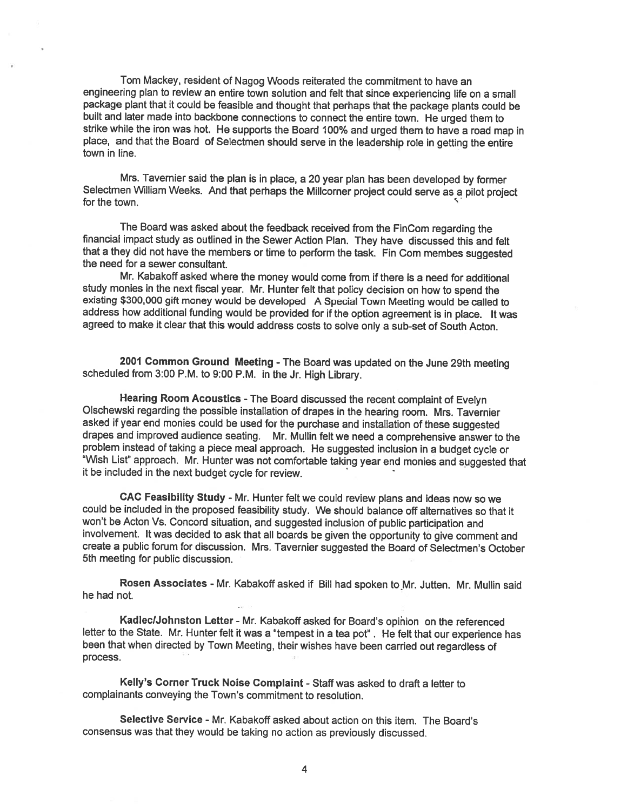Tom Mackey, resident of Nagog Woods reiterated the commitment to have an engineering <sup>p</sup>lan to review an entire town solution and felt that since experiencing life on <sup>a</sup> small package <sup>p</sup>lant that it could be feasible and thought that perhaps that the package <sup>p</sup>lants could be built and later made into backbone connections to connect the entire town. He urged them to strike while the iron was hot. He supports the Board 100% and urged them to have <sup>a</sup> road map in <sup>p</sup>lace, and that the Board of Selectmen should serve in the leadership role in getting the entire town in line.

Mrs. Tavernier said the <sup>p</sup>lan is in <sup>p</sup>lace, <sup>a</sup> <sup>20</sup> year <sup>p</sup>lan has been developed by former Selectmen William Weeks. And that perhaps the Millcorner project could serve as <sup>a</sup> <sup>p</sup>ilot project for the town.

The Board was asked about the feedback received from the FinCom regarding the financial impact study as outlined in the Sewer Action Plan. They have discussed this and felt that a they did not have the members or time to perform the task. Fin Com membes suggested the need for <sup>a</sup> sewer consultant.

Mr. Kabakoff asked where the money would come from if there is <sup>a</sup> need for additional study monies in the next fiscal year. Mr. Hunter felt that policy decision on how to spend the existing \$300,000 <sup>g</sup>ift money would be developed <sup>A</sup> Special Town Meeting would be called to address how additional funding would be provided for if the option agreement is in <sup>p</sup>lace. It was agreed to make it clear that this would address costs to solve only <sup>a</sup> sub-set of South Acton.

<sup>2001</sup> Common Ground Meeting -The Board was updated on the June 29th meeting scheduled from 3:00 P.M. to 9:00 P.M. in the Jr. High Library.

Hearing Room Acoustics -The Board discussed the recent complaint of Evelyn Olschewski regarding the possible installation of drapes in the hearing room. Mrs. Tavernier asked if year end monies could be used for the purchase and installation of these suggested drapes and improved audience seating. Mr. Mullin felt we need <sup>a</sup> comprehensive answer to the problem instead of taking <sup>a</sup> <sup>p</sup>iece meal approach. He suggested inclusion in <sup>a</sup> budget cycle or Wish List" approach. Mt. Hunter was not comfortable taking year end monies and suggested that it be included in the next budget cycle for review.

CAC Feasibility Study - Mr. Hunter felt we could review <sup>p</sup>lans and ideas now so we could be included in the proposed feasibility study. We should balance off alternatives so that it won't be Acton Vs. Concord situation, and suggested inclusion of public participation and involvement. It was decided to ask that all boards be <sup>g</sup>iven the opportunity to <sup>g</sup>ive comment and create <sup>a</sup> public forum for discussion. Mrs. Tavernier suggested the Board of Selectmen's October 5th meeting for public discussion.

Rosen Associates - Mr. Kabakoff asked if Bill had spoken to Mr. Jutten. Mr. Mullin said he had not.

KadleclJohnston Letter -Mr. Kabakoff asked for Board's opinion on the referenced letter to the State. Mr. Hunter felt it was <sup>a</sup> "tempest in <sup>a</sup> tea pot". He felt that our experience has been that when directed by Town Meeting, their wishes have been carried out regardless of process.

Kelly's Corner Truck Noise Complaint - Staff was asked to draft a letter to complainants conveying the Town's commitment to resolution.

Selective Service - Mr. Kabakoff asked about action on this item. The Board's consensus was that they would be taking no action as previously discussed.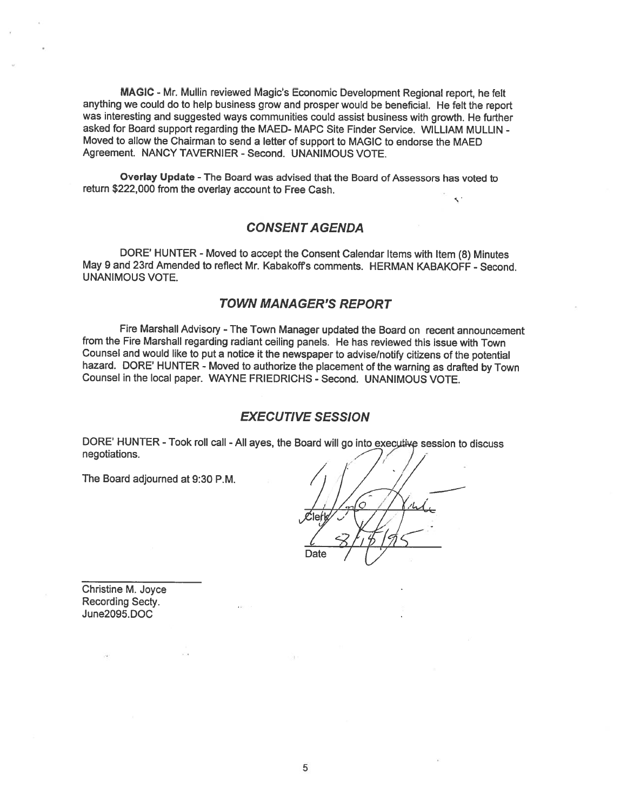MAGIC -Mr. Mullin reviewed Magic's Economic Development Regional report, he felt anything we could do to help business grow and prosper would be beneficial. He felt the report was interesting and suggested ways communities could assist business with growth. He further asked for Board support regarding the MAED- MAPC Site Finder Service. WILLIAM MULLIN - Moved to allow the Chairman to send <sup>a</sup> letter of support to MAGIC to endorse the MAED Agreement. NANCY TAVERNIER - Second. UNANIMOUS VOTE.

Overlay Update - The Board was advised that the Board of Assessors has voted to return \$222,000 from the overlay account to Free Cash.

# CONSENT AGENDA

DORE' HUNTER - Moved to accept the Consent Calendar Items with Item (8) Minutes May 9 and 23rd Amended to reflect Mr. Kabakoff's comments. HERMAN KABAKOFF - Second. UNANIMOUS VOTE.

# TOWN MANAGER'S REPORT

Fire Marshall Advisory - The Town Manager updated the Board on recent announcement from the Fire Marshall regarding radiant ceiling panels. He has reviewed this issue with Town Counsel and would like to pu<sup>t</sup> <sup>a</sup> notice it the newspaper to advise/notify citizens of the potential hazard. DORE' HUNTER - Moved to authorize the placement of the warning as drafted by Town Counsel in the local paper. WAYNE FRIEDRICHS - Second. UNANIMOUS VOTE.

# EXECUTIVE SESSION

DORE' HUNTER -Took roll call -All ayes, the Board will go into session to discuss negotiations.

The Board adjourned at 9:30 P.M.

Christine M. Joyce Recording Secty. June2095. DOC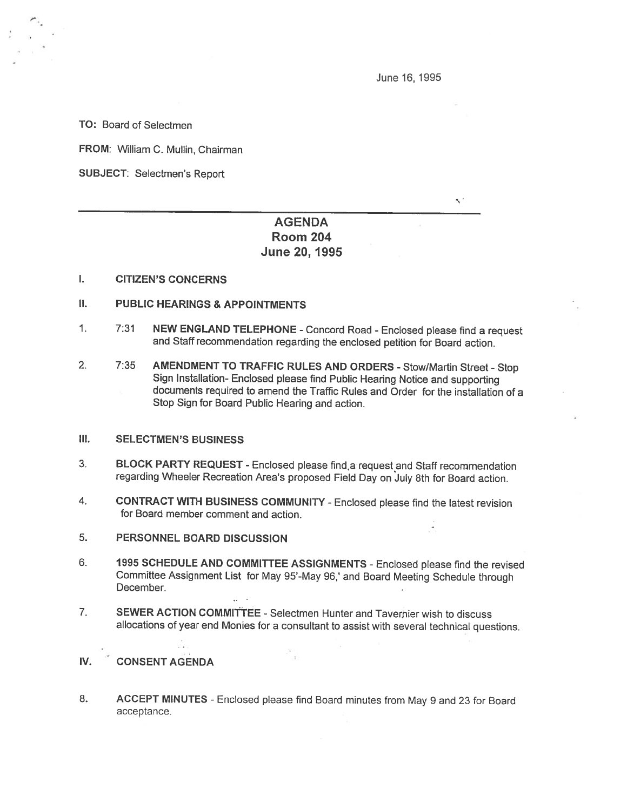June 16, 1995

 $\leq$ .

TO: Board of Selectmen

FROM: William C. Mullin, Chairman

SUBJECT: Selectmen's Report

# AGENDA Room 204 June 20, 1995

#### I. CITIZEN'S CONCERNS

- II. PUBLIC HEARINGS & APPOINTMENTS
- 1. 7:31 NEW ENGLAND TELEPHONE -Concord Road Enclosed <sup>p</sup>lease find <sup>a</sup> request and Staff recommendation regarding the enclosed petition for Board action.
- 2. 7:35 AMENDMENT TO TRAFFIC RULES AND ORDERS Stow/Martin Street -Stop Sign Installation- Enclosed <sup>p</sup>lease find Public Hearing Notice and supporting documents required to amend the Traffic Rules and Order for the installation of <sup>a</sup> Stop Sign for Board Public Hearing and action.

# III. SELECTMEN'S BUSINESS

- 3. BLOCK PARTY REQUEST Enclosed please find, a request and Staff recommendation regarding Wheeler Recreation Area's proposed Field Day on July 8th for Board action.
- 4. CONTRACT WITH BUSINESS COMMUNITY -Enclosed <sup>p</sup>lease find the latest revision for Board member comment and action.
- 5. PERSONNEL BOARD DISCUSSION
- 6. <sup>1995</sup> SCHEDULE AND COMMITTEE ASSIGNMENTS -Enclosed <sup>p</sup>lease find the revised Committee Assignment List for May 95-May 96,' and Board Meeting Schedule through December.
- 7. SEWER ACTION COMMITTEE Selectmen Hunter and Tavernier wish to discuss allocations of year end Monies for <sup>a</sup> consultant to assist with several technical questions.

# IV. CONSENT AGENDA

8. ACCEPT MINUTES - Enclosed please find Board minutes from May 9 and 23 for Board acceptance.